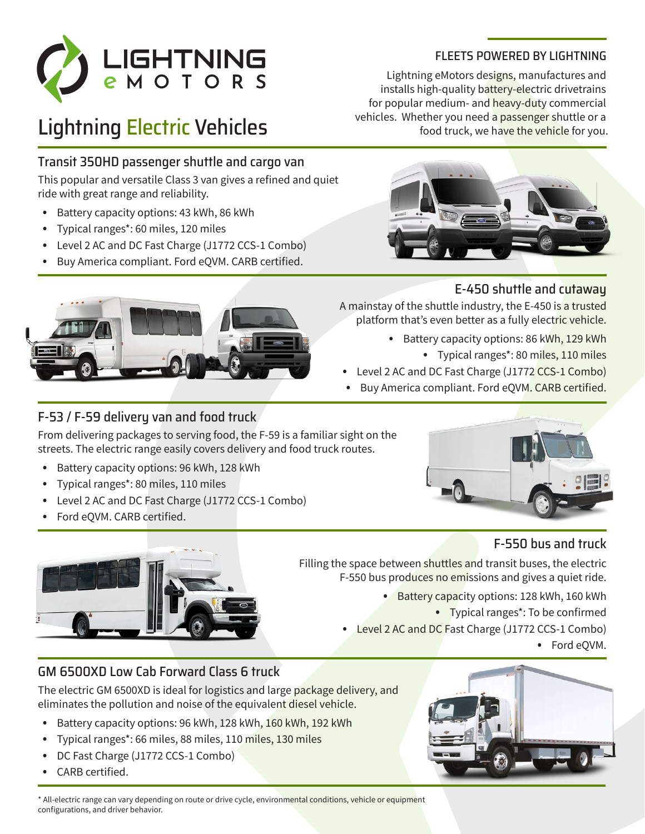

# Lightning Electric Vehicles

### Transit 350HD passenger shuttle and cargo van

This popular and versatile Class 3 van gives a refined and quiet ride with great range and reliability.

- Battery capacity options: 43 kWh, 86 kWh
- Typical ranges\*: 60 miles, 120 miles
- Level 2 AC and DC Fast Charge (J1772 CCS-1 Combo)
- Buy America compliant. Ford eQVM. CARB certified.

### F-53 / F-59 delivery van and food truck

From delivering packages to serving food, the F-59 is a familiar sight on the streets. The electric range easily covers delivery and food truck routes.

- Battery capacity options: 96 kWh, 128 kWh
- Typical ranges\*: 80 miles, 110 miles
- Level 2 AC and DC Fast Charge (J1772 CCS-1 Combo)
- Ford eQVM. CARB certified.



### FLEETS POWERED BY LIGHTNING

Lightning eMotors designs, manufactures and installs high-quality battery-electric drivetrains for popular medium- and heavy-duty commercial vehicles. Whether you need a passenger shuttle or a food truck, we have the vehicle for you.



### E-450 shuttle and cutaway

A mainstay of the shuttle industry, the E-450 is a trusted platform that's even better as a fully electric vehicle.

- Battery capacity options: 86 kWh, 129 kWh
	- Typical ranges\*: 80 miles, 110 miles

• Level 2 AC and DC Fast Charge (J1772 CCS-1 Combo)

Buy America compliant. Ford eQVM. CARB certified.



# F-550 bus and truck

Filling the space between shuttles and transit buses, the electric F-550 bus produces no emissions and gives a quiet ride.

• Battery capacity options: 128 kWh, 160 kWh

• Typical ranges\*: To be confirmed

• Level 2 AC and DC Fast Charge (J1772 CCS-1 Combo)

• Ford eQVM.

### GM 6500XD Low Cab Forward Class 6 truck

The electric GM 6500XD is ideal for logistics and large package delivery, and eliminates the pollution and noise of the equivalent diesel vehicle.

- Battery capacity options: 96 kWh, 128 kWh, 160 kWh, 192 kWh
- Typical ranges\*: 66 miles, 88 miles, 110 miles, 130 miles
- DC Fast Charge (J1772 CCS-1 Combo)
- CARB certified.



\* All-electric range can vary depending on route or drive cycle, environmental conditions, vehicle or equipment configurations, and driver behavior.